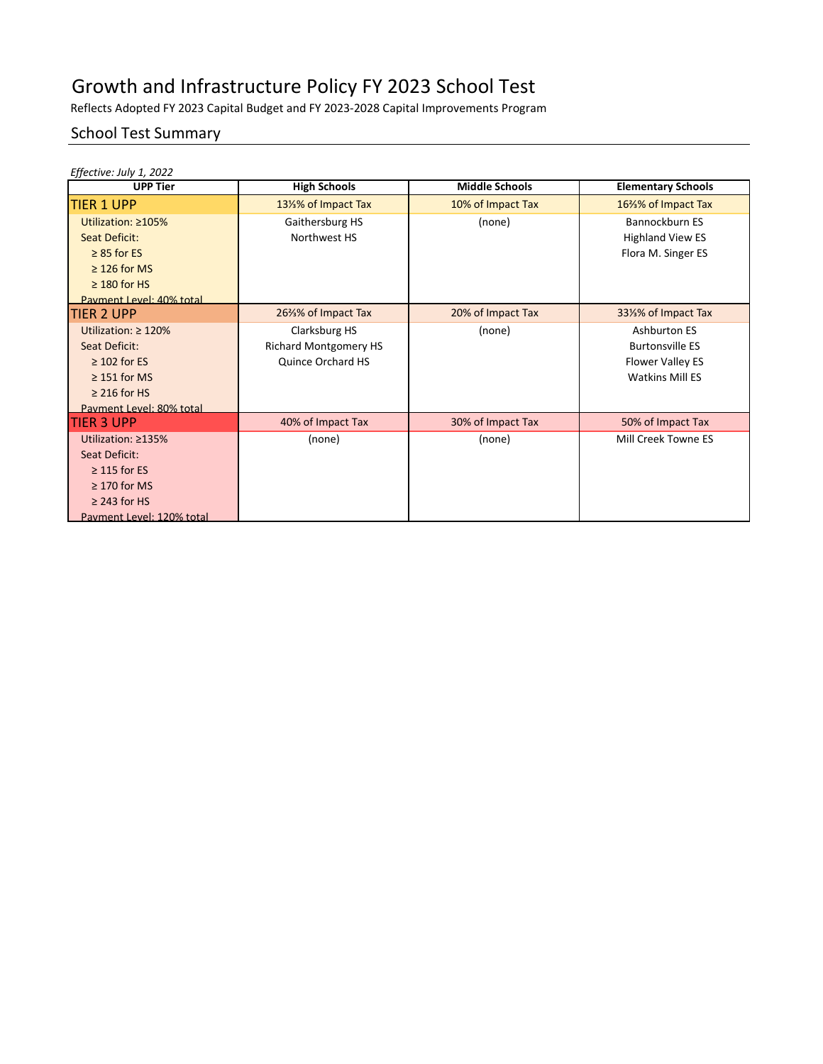Reflects Adopted FY 2023 Capital Budget and FY 2023-2028 Capital Improvements Program

#### School Test Summary

| Effective: July 1, 2022<br><b>UPP Tier</b>                                                                                            | <b>High Schools</b>                                                | <b>Middle Schools</b> | <b>Elementary Schools</b>                                                            |
|---------------------------------------------------------------------------------------------------------------------------------------|--------------------------------------------------------------------|-----------------------|--------------------------------------------------------------------------------------|
| <b>TIER 1 UPP</b>                                                                                                                     | 131% of Impact Tax                                                 | 10% of Impact Tax     | 16%% of Impact Tax                                                                   |
| Utilization: ≥105%<br>Seat Deficit:<br>$\geq$ 85 for ES<br>$\geq$ 126 for MS<br>$\geq$ 180 for HS<br>Payment Level: 40% total         | Gaithersburg HS<br>Northwest HS                                    | (none)                | Bannockburn ES<br><b>Highland View ES</b><br>Flora M. Singer ES                      |
| TIER 2 UPP                                                                                                                            | 26%% of Impact Tax                                                 | 20% of Impact Tax     | 331% of Impact Tax                                                                   |
| Utilization: $\geq 120\%$<br>Seat Deficit:<br>$\geq$ 102 for ES<br>$\geq$ 151 for MS<br>$\geq$ 216 for HS<br>Payment Level: 80% total | Clarksburg HS<br><b>Richard Montgomery HS</b><br>Quince Orchard HS | (none)                | Ashburton ES<br><b>Burtonsville ES</b><br>Flower Valley ES<br><b>Watkins Mill ES</b> |
| TIER 3 UPP                                                                                                                            | 40% of Impact Tax                                                  | 30% of Impact Tax     | 50% of Impact Tax                                                                    |
| Utilization: ≥135%<br>Seat Deficit:<br>$\geq$ 115 for ES<br>$\geq$ 170 for MS<br>$\geq$ 243 for HS<br>Payment Level: 120% total       | (none)                                                             | (none)                | Mill Creek Towne ES                                                                  |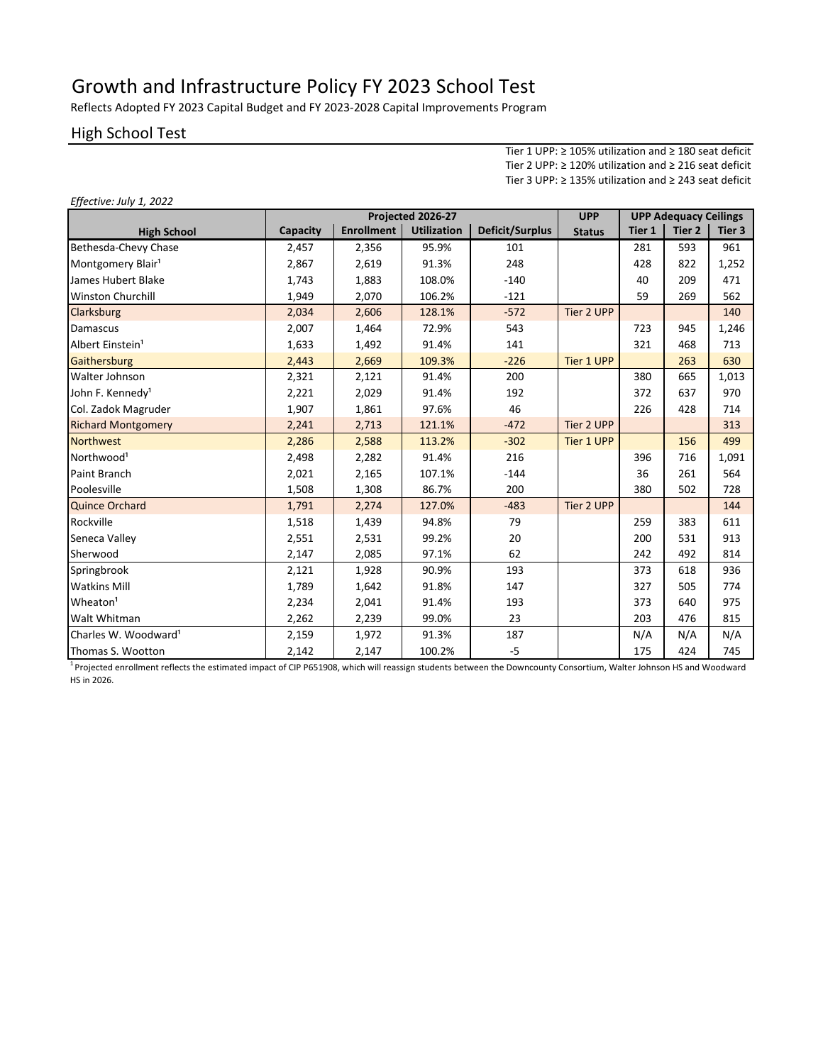Reflects Adopted FY 2023 Capital Budget and FY 2023-2028 Capital Improvements Program

#### High School Test

*Effective: July 1, 2022*

Tier 1 UPP: ≥ 105% utilization and ≥ 180 seat deficit Tier 2 UPP: ≥ 120% utilization and ≥ 216 seat deficit Tier 3 UPP: ≥ 135% utilization and ≥ 243 seat deficit

|                                  | Projected 2026-27 |                   |                    |                 | <b>UPP</b>    |        | <b>UPP Adequacy Ceilings</b> |        |
|----------------------------------|-------------------|-------------------|--------------------|-----------------|---------------|--------|------------------------------|--------|
| <b>High School</b>               | Capacity          | <b>Enrollment</b> | <b>Utilization</b> | Deficit/Surplus | <b>Status</b> | Tier 1 | Tier <sub>2</sub>            | Tier 3 |
| Bethesda-Chevy Chase             | 2,457             | 2,356             | 95.9%              | 101             |               | 281    | 593                          | 961    |
| Montgomery Blair <sup>1</sup>    | 2,867             | 2,619             | 91.3%              | 248             |               | 428    | 822                          | 1,252  |
| James Hubert Blake               | 1,743             | 1,883             | 108.0%             | $-140$          |               | 40     | 209                          | 471    |
| <b>Winston Churchill</b>         | 1,949             | 2,070             | 106.2%             | $-121$          |               | 59     | 269                          | 562    |
| Clarksburg                       | 2,034             | 2,606             | 128.1%             | $-572$          | Tier 2 UPP    |        |                              | 140    |
| Damascus                         | 2,007             | 1,464             | 72.9%              | 543             |               | 723    | 945                          | 1,246  |
| Albert Einstein <sup>1</sup>     | 1,633             | 1,492             | 91.4%              | 141             |               | 321    | 468                          | 713    |
| Gaithersburg                     | 2,443             | 2,669             | 109.3%             | $-226$          | Tier 1 UPP    |        | 263                          | 630    |
| Walter Johnson                   | 2,321             | 2,121             | 91.4%              | 200             |               | 380    | 665                          | 1,013  |
| John F. Kennedy <sup>1</sup>     | 2,221             | 2,029             | 91.4%              | 192             |               | 372    | 637                          | 970    |
| Col. Zadok Magruder              | 1,907             | 1,861             | 97.6%              | 46              |               | 226    | 428                          | 714    |
| <b>Richard Montgomery</b>        | 2,241             | 2,713             | 121.1%             | $-472$          | Tier 2 UPP    |        |                              | 313    |
| <b>Northwest</b>                 | 2,286             | 2,588             | 113.2%             | $-302$          | Tier 1 UPP    |        | 156                          | 499    |
| Northwood <sup>1</sup>           | 2,498             | 2,282             | 91.4%              | 216             |               | 396    | 716                          | 1,091  |
| Paint Branch                     | 2,021             | 2,165             | 107.1%             | $-144$          |               | 36     | 261                          | 564    |
| Poolesville                      | 1,508             | 1,308             | 86.7%              | 200             |               | 380    | 502                          | 728    |
| <b>Quince Orchard</b>            | 1,791             | 2,274             | 127.0%             | $-483$          | Tier 2 UPP    |        |                              | 144    |
| Rockville                        | 1,518             | 1,439             | 94.8%              | 79              |               | 259    | 383                          | 611    |
| Seneca Valley                    | 2,551             | 2,531             | 99.2%              | 20              |               | 200    | 531                          | 913    |
| Sherwood                         | 2,147             | 2,085             | 97.1%              | 62              |               | 242    | 492                          | 814    |
| Springbrook                      | 2,121             | 1,928             | 90.9%              | 193             |               | 373    | 618                          | 936    |
| <b>Watkins Mill</b>              | 1,789             | 1,642             | 91.8%              | 147             |               | 327    | 505                          | 774    |
| Wheaton <sup>1</sup>             | 2,234             | 2,041             | 91.4%              | 193             |               | 373    | 640                          | 975    |
| Walt Whitman                     | 2,262             | 2,239             | 99.0%              | 23              |               | 203    | 476                          | 815    |
| Charles W. Woodward <sup>1</sup> | 2,159             | 1,972             | 91.3%              | 187             |               | N/A    | N/A                          | N/A    |
| Thomas S. Wootton                | 2,142             | 2,147             | 100.2%             | $-5$            |               | 175    | 424                          | 745    |

<sup>1</sup>Projected enrollment reflects the estimated impact of CIP P651908, which will reassign students between the Downcounty Consortium, Walter Johnson HS and Woodward HS in 2026.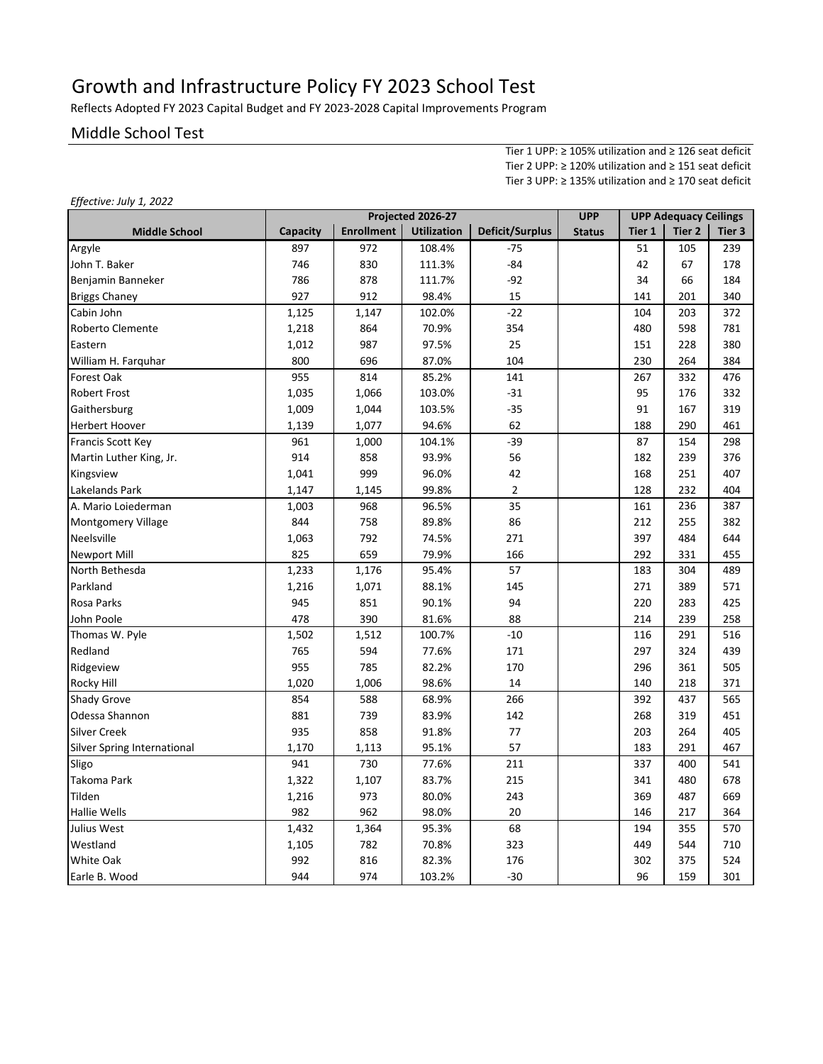Reflects Adopted FY 2023 Capital Budget and FY 2023-2028 Capital Improvements Program

#### Middle School Test

*Effective: July 1, 2022*

Tier 1 UPP: ≥ 105% utilization and ≥ 126 seat deficit Tier 2 UPP: ≥ 120% utilization and ≥ 151 seat deficit Tier 3 UPP: ≥ 135% utilization and ≥ 170 seat deficit

|                             | Projected 2026-27 |                   |                    | <b>UPP</b>             | <b>UPP Adequacy Ceilings</b> |        |                   |        |
|-----------------------------|-------------------|-------------------|--------------------|------------------------|------------------------------|--------|-------------------|--------|
| <b>Middle School</b>        | Capacity          | <b>Enrollment</b> | <b>Utilization</b> | <b>Deficit/Surplus</b> | <b>Status</b>                | Tier 1 | Tier <sub>2</sub> | Tier 3 |
| Argyle                      | 897               | 972               | 108.4%             | $-75$                  |                              | 51     | 105               | 239    |
| John T. Baker               | 746               | 830               | 111.3%             | $-84$                  |                              | 42     | 67                | 178    |
| Benjamin Banneker           | 786               | 878               | 111.7%             | $-92$                  |                              | 34     | 66                | 184    |
| <b>Briggs Chaney</b>        | 927               | 912               | 98.4%              | 15                     |                              | 141    | 201               | 340    |
| Cabin John                  | 1,125             | 1,147             | 102.0%             | $-22$                  |                              | 104    | 203               | 372    |
| Roberto Clemente            | 1,218             | 864               | 70.9%              | 354                    |                              | 480    | 598               | 781    |
| Eastern                     | 1,012             | 987               | 97.5%              | 25                     |                              | 151    | 228               | 380    |
| William H. Farquhar         | 800               | 696               | 87.0%              | 104                    |                              | 230    | 264               | 384    |
| Forest Oak                  | 955               | 814               | 85.2%              | 141                    |                              | 267    | 332               | 476    |
| <b>Robert Frost</b>         | 1,035             | 1,066             | 103.0%             | $-31$                  |                              | 95     | 176               | 332    |
| Gaithersburg                | 1,009             | 1,044             | 103.5%             | $-35$                  |                              | 91     | 167               | 319    |
| <b>Herbert Hoover</b>       | 1,139             | 1,077             | 94.6%              | 62                     |                              | 188    | 290               | 461    |
| Francis Scott Key           | 961               | 1,000             | 104.1%             | $-39$                  |                              | 87     | 154               | 298    |
| Martin Luther King, Jr.     | 914               | 858               | 93.9%              | 56                     |                              | 182    | 239               | 376    |
| Kingsview                   | 1,041             | 999               | 96.0%              | 42                     |                              | 168    | 251               | 407    |
| Lakelands Park              | 1,147             | 1,145             | 99.8%              | $\overline{2}$         |                              | 128    | 232               | 404    |
| A. Mario Loiederman         | 1,003             | 968               | 96.5%              | 35                     |                              | 161    | 236               | 387    |
| Montgomery Village          | 844               | 758               | 89.8%              | 86                     |                              | 212    | 255               | 382    |
| Neelsville                  | 1,063             | 792               | 74.5%              | 271                    |                              | 397    | 484               | 644    |
| <b>Newport Mill</b>         | 825               | 659               | 79.9%              | 166                    |                              | 292    | 331               | 455    |
| North Bethesda              | 1,233             | 1,176             | 95.4%              | 57                     |                              | 183    | 304               | 489    |
| Parkland                    | 1,216             | 1,071             | 88.1%              | 145                    |                              | 271    | 389               | 571    |
| Rosa Parks                  | 945               | 851               | 90.1%              | 94                     |                              | 220    | 283               | 425    |
| John Poole                  | 478               | 390               | 81.6%              | 88                     |                              | 214    | 239               | 258    |
| Thomas W. Pyle              | 1,502             | 1,512             | 100.7%             | $-10$                  |                              | 116    | 291               | 516    |
| Redland                     | 765               | 594               | 77.6%              | 171                    |                              | 297    | 324               | 439    |
| Ridgeview                   | 955               | 785               | 82.2%              | 170                    |                              | 296    | 361               | 505    |
| <b>Rocky Hill</b>           | 1,020             | 1,006             | 98.6%              | 14                     |                              | 140    | 218               | 371    |
| <b>Shady Grove</b>          | 854               | 588               | 68.9%              | 266                    |                              | 392    | 437               | 565    |
| Odessa Shannon              | 881               | 739               | 83.9%              | 142                    |                              | 268    | 319               | 451    |
| <b>Silver Creek</b>         | 935               | 858               | 91.8%              | 77                     |                              | 203    | 264               | 405    |
| Silver Spring International | 1,170             | 1,113             | 95.1%              | 57                     |                              | 183    | 291               | 467    |
| Sligo                       | 941               | 730               | 77.6%              | 211                    |                              | 337    | 400               | 541    |
| Takoma Park                 | 1,322             | 1,107             | 83.7%              | 215                    |                              | 341    | 480               | 678    |
| Tilden                      | 1,216             | 973               | 80.0%              | 243                    |                              | 369    | 487               | 669    |
| <b>Hallie Wells</b>         | 982               | 962               | 98.0%              | 20                     |                              | 146    | 217               | 364    |
| Julius West                 | 1,432             | 1,364             | 95.3%              | 68                     |                              | 194    | 355               | 570    |
| Westland                    | 1,105             | 782               | 70.8%              | 323                    |                              | 449    | 544               | 710    |
| <b>White Oak</b>            | 992               | 816               | 82.3%              | 176                    |                              | 302    | 375               | 524    |
| Earle B. Wood               | 944               | 974               | 103.2%             | $-30$                  |                              | 96     | 159               | 301    |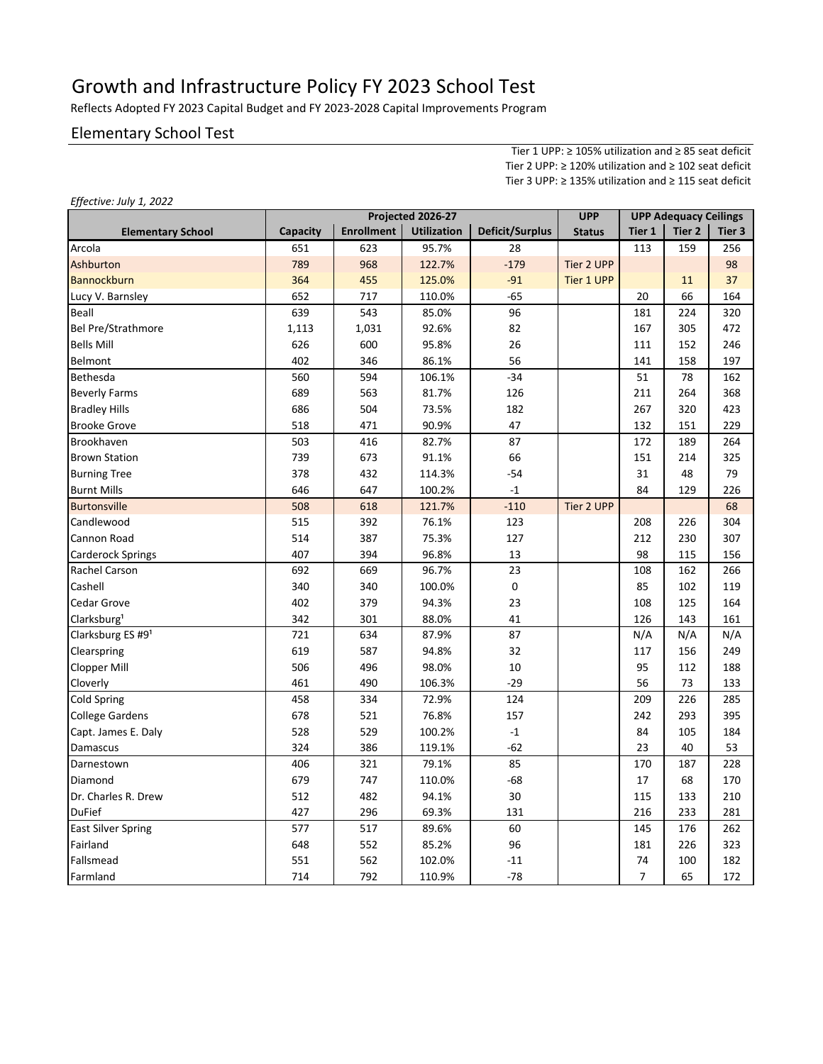Reflects Adopted FY 2023 Capital Budget and FY 2023-2028 Capital Improvements Program

#### Elementary School Test

Tier 1 UPP: ≥ 105% utilization and ≥ 85 seat deficit Tier 2 UPP: ≥ 120% utilization and ≥ 102 seat deficit Tier 3 UPP: ≥ 135% utilization and ≥ 115 seat deficit

|                           |          | <b>UPP</b>        |                    | <b>UPP Adequacy Ceilings</b> |                   |                |        |        |
|---------------------------|----------|-------------------|--------------------|------------------------------|-------------------|----------------|--------|--------|
| <b>Elementary School</b>  | Capacity | <b>Enrollment</b> | <b>Utilization</b> | <b>Deficit/Surplus</b>       | <b>Status</b>     | Tier 1         | Tier 2 | Tier 3 |
| Arcola                    | 651      | 623               | 95.7%              | 28                           |                   | 113            | 159    | 256    |
| Ashburton                 | 789      | 968               | 122.7%             | $-179$                       | Tier 2 UPP        |                |        | 98     |
| <b>Bannockburn</b>        | 364      | 455               | 125.0%             | $-91$                        | <b>Tier 1 UPP</b> |                | 11     | 37     |
| Lucy V. Barnsley          | 652      | 717               | 110.0%             | $-65$                        |                   | 20             | 66     | 164    |
| Beall                     | 639      | 543               | 85.0%              | 96                           |                   | 181            | 224    | 320    |
| <b>Bel Pre/Strathmore</b> | 1,113    | 1,031             | 92.6%              | 82                           |                   | 167            | 305    | 472    |
| <b>Bells Mill</b>         | 626      | 600               | 95.8%              | 26                           |                   | 111            | 152    | 246    |
| Belmont                   | 402      | 346               | 86.1%              | 56                           |                   | 141            | 158    | 197    |
| Bethesda                  | 560      | 594               | 106.1%             | $-34$                        |                   | 51             | 78     | 162    |
| <b>Beverly Farms</b>      | 689      | 563               | 81.7%              | 126                          |                   | 211            | 264    | 368    |
| <b>Bradley Hills</b>      | 686      | 504               | 73.5%              | 182                          |                   | 267            | 320    | 423    |
| <b>Brooke Grove</b>       | 518      | 471               | 90.9%              | 47                           |                   | 132            | 151    | 229    |
| Brookhaven                | 503      | 416               | 82.7%              | 87                           |                   | 172            | 189    | 264    |
| <b>Brown Station</b>      | 739      | 673               | 91.1%              | 66                           |                   | 151            | 214    | 325    |
| <b>Burning Tree</b>       | 378      | 432               | 114.3%             | $-54$                        |                   | 31             | 48     | 79     |
| <b>Burnt Mills</b>        | 646      | 647               | 100.2%             | $-1$                         |                   | 84             | 129    | 226    |
| <b>Burtonsville</b>       | 508      | 618               | 121.7%             | $-110$                       | Tier 2 UPP        |                |        | 68     |
| Candlewood                | 515      | 392               | 76.1%              | 123                          |                   | 208            | 226    | 304    |
| Cannon Road               | 514      | 387               | 75.3%              | 127                          |                   | 212            | 230    | 307    |
| <b>Carderock Springs</b>  | 407      | 394               | 96.8%              | 13                           |                   | 98             | 115    | 156    |
| <b>Rachel Carson</b>      | 692      | 669               | 96.7%              | 23                           |                   | 108            | 162    | 266    |
| Cashell                   | 340      | 340               | 100.0%             | 0                            |                   | 85             | 102    | 119    |
| <b>Cedar Grove</b>        | 402      | 379               | 94.3%              | 23                           |                   | 108            | 125    | 164    |
| Clarksburg <sup>1</sup>   | 342      | 301               | 88.0%              | 41                           |                   | 126            | 143    | 161    |
| Clarksburg ES #91         | 721      | 634               | 87.9%              | 87                           |                   | N/A            | N/A    | N/A    |
| Clearspring               | 619      | 587               | 94.8%              | 32                           |                   | 117            | 156    | 249    |
| <b>Clopper Mill</b>       | 506      | 496               | 98.0%              | 10                           |                   | 95             | 112    | 188    |
| Cloverly                  | 461      | 490               | 106.3%             | $-29$                        |                   | 56             | 73     | 133    |
| <b>Cold Spring</b>        | 458      | 334               | 72.9%              | 124                          |                   | 209            | 226    | 285    |
| <b>College Gardens</b>    | 678      | 521               | 76.8%              | 157                          |                   | 242            | 293    | 395    |
| Capt. James E. Daly       | 528      | 529               | 100.2%             | $-1$                         |                   | 84             | 105    | 184    |
| Damascus                  | 324      | 386               | 119.1%             | $-62$                        |                   | 23             | 40     | 53     |
| Darnestown                | 406      | 321               | 79.1%              | 85                           |                   | 170            | 187    | 228    |
| Diamond                   | 679      | 747               | 110.0%             | $-68$                        |                   | 17             | 68     | 170    |
| Dr. Charles R. Drew       | 512      | 482               | 94.1%              | 30                           |                   | 115            | 133    | 210    |
| <b>DuFief</b>             | 427      | 296               | 69.3%              | 131                          |                   | 216            | 233    | 281    |
| <b>East Silver Spring</b> | 577      | 517               | 89.6%              | 60                           |                   | 145            | 176    | 262    |
| Fairland                  | 648      | 552               | 85.2%              | 96                           |                   | 181            | 226    | 323    |
| Fallsmead                 | 551      | 562               | 102.0%             | $-11$                        |                   | 74             | 100    | 182    |
| Farmland                  | 714      | 792               | 110.9%             | $-78$                        |                   | $\overline{7}$ | 65     | 172    |

*Effective: July 1, 2022*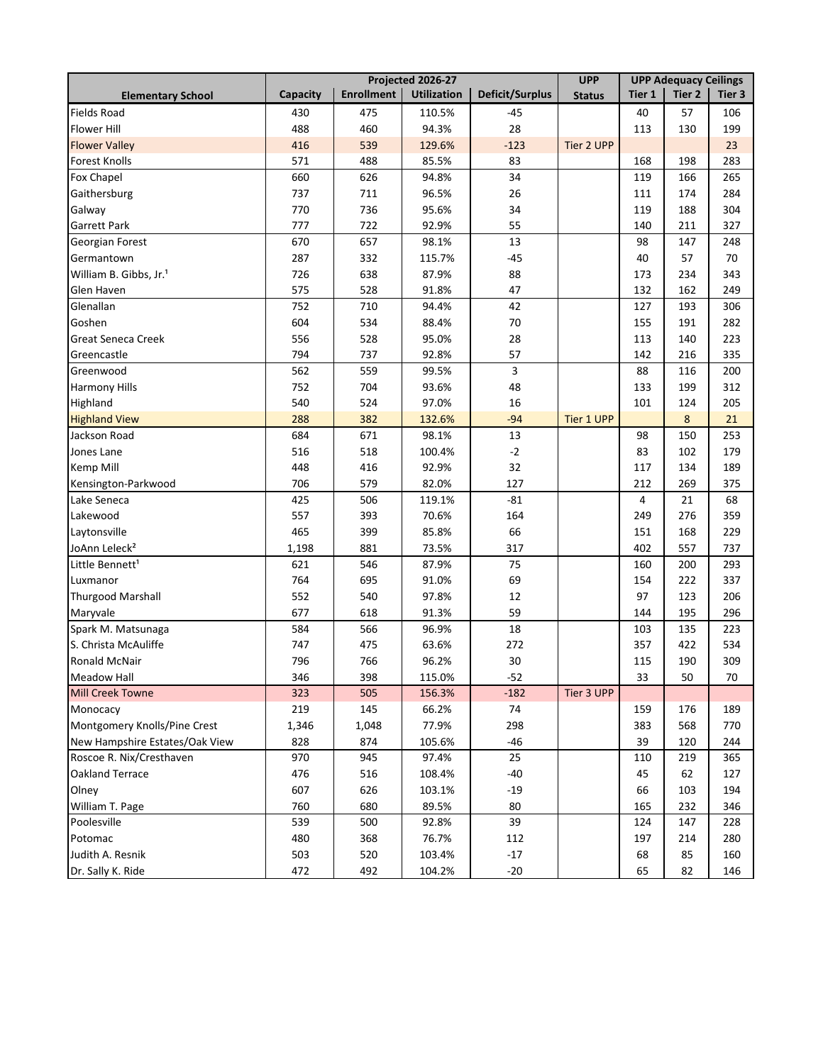|                                    | Projected 2026-27 |                   |                    |                        | <b>UPP</b>        | <b>UPP Adequacy Ceilings</b> |                   |        |
|------------------------------------|-------------------|-------------------|--------------------|------------------------|-------------------|------------------------------|-------------------|--------|
| <b>Elementary School</b>           | Capacity          | <b>Enrollment</b> | <b>Utilization</b> | <b>Deficit/Surplus</b> | <b>Status</b>     | Tier 1                       | Tier <sub>2</sub> | Tier 3 |
| <b>Fields Road</b>                 | 430               | 475               | 110.5%             | -45                    |                   | 40                           | 57                | 106    |
| <b>Flower Hill</b>                 | 488               | 460               | 94.3%              | 28                     |                   | 113                          | 130               | 199    |
| <b>Flower Valley</b>               | 416               | 539               | 129.6%             | $-123$                 | <b>Tier 2 UPP</b> |                              |                   | 23     |
| <b>Forest Knolls</b>               | 571               | 488               | 85.5%              | 83                     |                   | 168                          | 198               | 283    |
| Fox Chapel                         | 660               | 626               | 94.8%              | 34                     |                   | 119                          | 166               | 265    |
| Gaithersburg                       | 737               | 711               | 96.5%              | 26                     |                   | 111                          | 174               | 284    |
| Galway                             | 770               | 736               | 95.6%              | 34                     |                   | 119                          | 188               | 304    |
| <b>Garrett Park</b>                | 777               | 722               | 92.9%              | 55                     |                   | 140                          | 211               | 327    |
| Georgian Forest                    | 670               | 657               | 98.1%              | 13                     |                   | 98                           | 147               | 248    |
| Germantown                         | 287               | 332               | 115.7%             | $-45$                  |                   | 40                           | 57                | 70     |
| William B. Gibbs, Jr. <sup>1</sup> | 726               | 638               | 87.9%              | 88                     |                   | 173                          | 234               | 343    |
| Glen Haven                         | 575               | 528               | 91.8%              | 47                     |                   | 132                          | 162               | 249    |
| Glenallan                          | 752               | 710               | 94.4%              | 42                     |                   | 127                          | 193               | 306    |
| Goshen                             | 604               | 534               | 88.4%              | 70                     |                   | 155                          | 191               | 282    |
| Great Seneca Creek                 | 556               | 528               | 95.0%              | 28                     |                   | 113                          | 140               | 223    |
| Greencastle                        | 794               | 737               | 92.8%              | 57                     |                   | 142                          | 216               | 335    |
| Greenwood                          | 562               | 559               | 99.5%              | 3                      |                   | 88                           | 116               | 200    |
| Harmony Hills                      | 752               | 704               | 93.6%              | 48                     |                   | 133                          | 199               | 312    |
| Highland                           | 540               | 524               | 97.0%              | 16                     |                   | 101                          | 124               | 205    |
| <b>Highland View</b>               | 288               | 382               | 132.6%             | $-94$                  | <b>Tier 1 UPP</b> |                              | 8                 | 21     |
| Jackson Road                       | 684               | 671               | 98.1%              | 13                     |                   | 98                           | 150               | 253    |
| Jones Lane                         | 516               | 518               | 100.4%             | $-2$                   |                   | 83                           | 102               | 179    |
| Kemp Mill                          | 448               | 416               | 92.9%              | 32                     |                   | 117                          | 134               | 189    |
| Kensington-Parkwood                | 706               | 579               | 82.0%              | 127                    |                   | 212                          | 269               | 375    |
| Lake Seneca                        | 425               | 506               | 119.1%             | -81                    |                   | 4                            | 21                | 68     |
| Lakewood                           | 557               | 393               | 70.6%              | 164                    |                   | 249                          | 276               | 359    |
| Laytonsville                       | 465               | 399               | 85.8%              | 66                     |                   | 151                          | 168               | 229    |
| JoAnn Leleck <sup>2</sup>          | 1,198             | 881               | 73.5%              | 317                    |                   | 402                          | 557               | 737    |
| Little Bennett <sup>1</sup>        | 621               | 546               | 87.9%              | 75                     |                   | 160                          | 200               | 293    |
| Luxmanor                           | 764               | 695               | 91.0%              | 69                     |                   | 154                          | 222               | 337    |
| <b>Thurgood Marshall</b>           | 552               | 540               | 97.8%              | 12                     |                   | 97                           | 123               | 206    |
| Maryvale                           | 677               | 618               | 91.3%              | 59                     |                   | 144                          | 195               | 296    |
| Spark M. Matsunaga                 | 584               | 566               | 96.9%              | 18                     |                   | 103                          | 135               | 223    |
| S. Christa McAuliffe               | 747               | 475               | 63.6%              | 272                    |                   | 357                          | 422               | 534    |
| Ronald McNair                      | 796               | 766               | 96.2%              | 30                     |                   | 115                          | 190               | 309    |
| <b>Meadow Hall</b>                 | 346               | 398               | 115.0%             | $-52$                  |                   | 33                           | 50                | 70     |
| <b>Mill Creek Towne</b>            | 323               | 505               | 156.3%             | $-182$                 | Tier 3 UPP        |                              |                   |        |
| Monocacy                           | 219               | 145               | 66.2%              | 74                     |                   | 159                          | 176               | 189    |
| Montgomery Knolls/Pine Crest       | 1,346             | 1,048             | 77.9%              | 298                    |                   | 383                          | 568               | 770    |
| New Hampshire Estates/Oak View     | 828               | 874               | 105.6%             | $-46$                  |                   | 39                           | 120               | 244    |
| Roscoe R. Nix/Cresthaven           | 970               | 945               | 97.4%              | 25                     |                   | 110                          | 219               | 365    |
| Oakland Terrace                    | 476               | 516               | 108.4%             | $-40$                  |                   | 45                           | 62                | 127    |
| Olney                              | 607               | 626               | 103.1%             | $-19$                  |                   | 66                           | 103               | 194    |
| William T. Page                    | 760               | 680               | 89.5%              | 80                     |                   | 165                          | 232               | 346    |
| Poolesville                        | 539               | 500               | 92.8%              | 39                     |                   | 124                          | 147               | 228    |
| Potomac                            | 480               | 368               | 76.7%              | 112                    |                   | 197                          | 214               | 280    |
| Judith A. Resnik                   | 503               | 520               | 103.4%             | $-17$                  |                   | 68                           | 85                | 160    |
| Dr. Sally K. Ride                  | 472               | 492               | 104.2%             | $-20$                  |                   | 65                           | 82                | 146    |